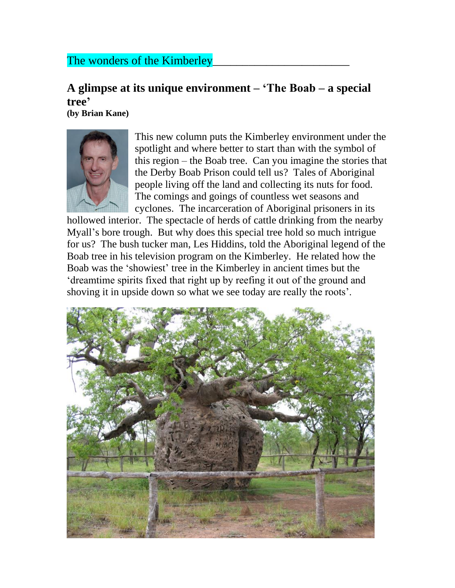## The wonders of the Kimberley

## **A glimpse at its unique environment – 'The Boab – a special tree'**

**(by Brian Kane)**



This new column puts the Kimberley environment under the spotlight and where better to start than with the symbol of this region – the Boab tree. Can you imagine the stories that the Derby Boab Prison could tell us? Tales of Aboriginal people living off the land and collecting its nuts for food. The comings and goings of countless wet seasons and cyclones. The incarceration of Aboriginal prisoners in its

hollowed interior. The spectacle of herds of cattle drinking from the nearby Myall's bore trough. But why does this special tree hold so much intrigue for us? The bush tucker man, Les Hiddins, told the Aboriginal legend of the Boab tree in his television program on the Kimberley. He related how the Boab was the 'showiest' tree in the Kimberley in ancient times but the 'dreamtime spirits fixed that right up by reefing it out of the ground and shoving it in upside down so what we see today are really the roots'.